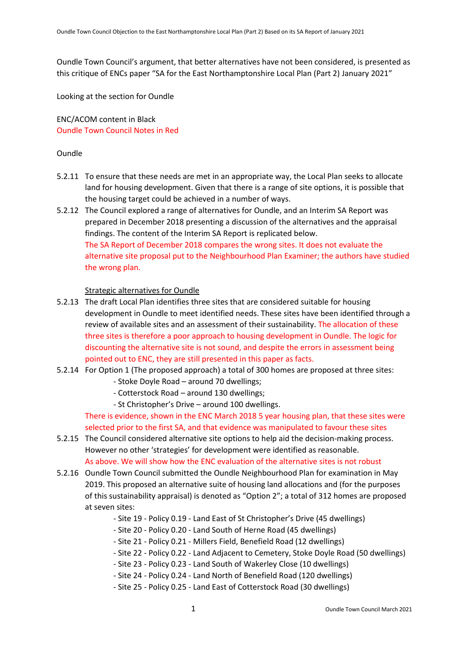Oundle Town Council's argument, that better alternatives have not been considered, is presented as this critique of ENCs paper "SA for the East Northamptonshire Local Plan (Part 2) January 2021"

Looking at the section for Oundle

ENC/ACOM content in Black Oundle Town Council Notes in Red

#### Oundle

- 5.2.11 To ensure that these needs are met in an appropriate way, the Local Plan seeks to allocate land for housing development. Given that there is a range of site options, it is possible that the housing target could be achieved in a number of ways.
- 5.2.12 The Council explored a range of alternatives for Oundle, and an Interim SA Report was prepared in December 2018 presenting a discussion of the alternatives and the appraisal findings. The content of the Interim SA Report is replicated below. The SA Report of December 2018 compares the wrong sites. It does not evaluate the alternative site proposal put to the Neighbourhood Plan Examiner; the authors have studied the wrong plan.

#### Strategic alternatives for Oundle

- 5.2.13 The draft Local Plan identifies three sites that are considered suitable for housing development in Oundle to meet identified needs. These sites have been identified through a review of available sites and an assessment of their sustainability. The allocation of these three sites is therefore a poor approach to housing development in Oundle. The logic for discounting the alternative site is not sound, and despite the errors in assessment being pointed out to ENC, they are still presented in this paper as facts.
- 5.2.14 For Option 1 (The proposed approach) a total of 300 homes are proposed at three sites:
	- Stoke Doyle Road around 70 dwellings;
	- Cotterstock Road around 130 dwellings;
	- St Christopher's Drive around 100 dwellings.

There is evidence, shown in the ENC March 2018 5 year housing plan, that these sites were selected prior to the first SA, and that evidence was manipulated to favour these sites

- 5.2.15 The Council considered alternative site options to help aid the decision-making process. However no other 'strategies' for development were identified as reasonable. As above. We will show how the ENC evaluation of the alternative sites is not robust
- 5.2.16 Oundle Town Council submitted the Oundle Neighbourhood Plan for examination in May 2019. This proposed an alternative suite of housing land allocations and (for the purposes of this sustainability appraisal) is denoted as "Option 2"; a total of 312 homes are proposed at seven sites:
	- Site 19 Policy 0.19 Land East of St Christopher's Drive (45 dwellings)
	- Site 20 Policy 0.20 Land South of Herne Road (45 dwellings)
	- Site 21 Policy 0.21 Millers Field, Benefield Road (12 dwellings)
	- Site 22 Policy 0.22 Land Adjacent to Cemetery, Stoke Doyle Road (50 dwellings)
	- Site 23 Policy 0.23 Land South of Wakerley Close (10 dwellings)
	- Site 24 Policy 0.24 Land North of Benefield Road (120 dwellings)
	- Site 25 Policy 0.25 Land East of Cotterstock Road (30 dwellings)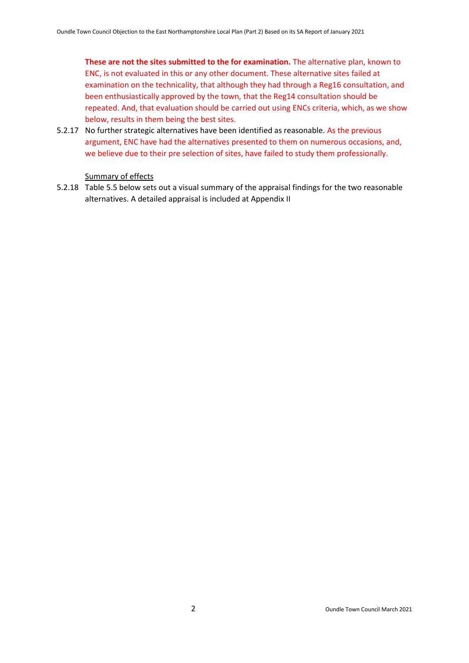**These are not the sites submitted to the for examination.** The alternative plan, known to ENC, is not evaluated in this or any other document. These alternative sites failed at examination on the technicality, that although they had through a Reg16 consultation, and been enthusiastically approved by the town, that the Reg14 consultation should be repeated. And, that evaluation should be carried out using ENCs criteria, which, as we show below, results in them being the best sites.

5.2.17 No further strategic alternatives have been identified as reasonable. As the previous argument, ENC have had the alternatives presented to them on numerous occasions, and, we believe due to their pre selection of sites, have failed to study them professionally.

## Summary of effects

5.2.18 Table 5.5 below sets out a visual summary of the appraisal findings for the two reasonable alternatives. A detailed appraisal is included at Appendix II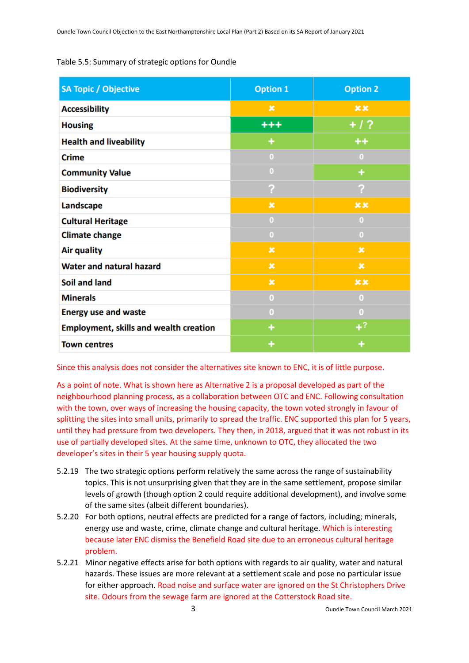#### Table 5.5: Summary of strategic options for Oundle

| <b>SA Topic / Objective</b>                   | <b>Option 1</b> | <b>Option 2</b> |
|-----------------------------------------------|-----------------|-----------------|
| <b>Accessibility</b>                          | ×               | x x             |
| <b>Housing</b>                                | $+ + +$         | $+ 1.2$         |
| <b>Health and liveability</b>                 | ٠               | $++$            |
| <b>Crime</b>                                  | $\bf{0}$        | $\bf{0}$        |
| <b>Community Value</b>                        | $\bf{0}$        | ÷               |
| <b>Biodiversity</b>                           | ?               | ?               |
| Landscape                                     | $\mathbf x$     | xx              |
| <b>Cultural Heritage</b>                      | $\bf{0}$        | $\bf{0}$        |
| <b>Climate change</b>                         | $\bf{0}$        | 0               |
| <b>Air quality</b>                            | $\pmb{\times}$  | $\pmb{\times}$  |
| <b>Water and natural hazard</b>               | ×               | ×               |
| <b>Soil and land</b>                          | $\pmb{\times}$  | x x             |
| <b>Minerals</b>                               | $\bf{0}$        | $\bf{0}$        |
| <b>Energy use and waste</b>                   | 0               | $\bf{0}$        |
| <b>Employment, skills and wealth creation</b> | ٠               | $+^?$           |
| <b>Town centres</b>                           | ٠               | ٠               |

Since this analysis does not consider the alternatives site known to ENC, it is of little purpose.

As a point of note. What is shown here as Alternative 2 is a proposal developed as part of the neighbourhood planning process, as a collaboration between OTC and ENC. Following consultation with the town, over ways of increasing the housing capacity, the town voted strongly in favour of splitting the sites into small units, primarily to spread the traffic. ENC supported this plan for 5 years, until they had pressure from two developers. They then, in 2018, argued that it was not robust in its use of partially developed sites. At the same time, unknown to OTC, they allocated the two developer's sites in their 5 year housing supply quota.

- 5.2.19 The two strategic options perform relatively the same across the range of sustainability topics. This is not unsurprising given that they are in the same settlement, propose similar levels of growth (though option 2 could require additional development), and involve some of the same sites (albeit different boundaries).
- 5.2.20 For both options, neutral effects are predicted for a range of factors, including; minerals, energy use and waste, crime, climate change and cultural heritage. Which is interesting because later ENC dismiss the Benefield Road site due to an erroneous cultural heritage problem.
- 5.2.21 Minor negative effects arise for both options with regards to air quality, water and natural hazards. These issues are more relevant at a settlement scale and pose no particular issue for either approach. Road noise and surface water are ignored on the St Christophers Drive site. Odours from the sewage farm are ignored at the Cotterstock Road site.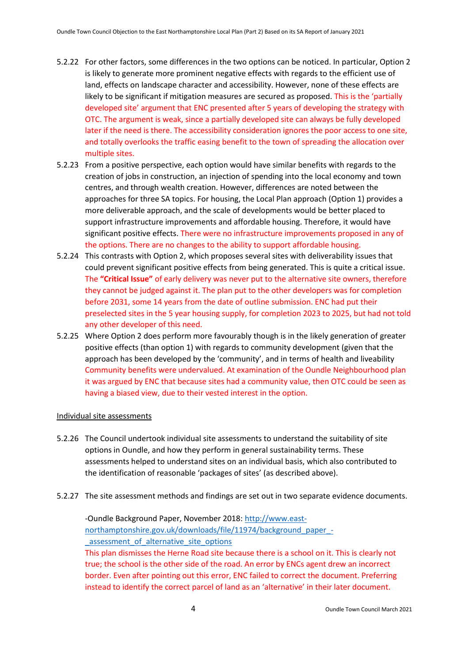- 5.2.22 For other factors, some differences in the two options can be noticed. In particular, Option 2 is likely to generate more prominent negative effects with regards to the efficient use of land, effects on landscape character and accessibility. However, none of these effects are likely to be significant if mitigation measures are secured as proposed. This is the 'partially developed site' argument that ENC presented after 5 years of developing the strategy with OTC. The argument is weak, since a partially developed site can always be fully developed later if the need is there. The accessibility consideration ignores the poor access to one site, and totally overlooks the traffic easing benefit to the town of spreading the allocation over multiple sites.
- 5.2.23 From a positive perspective, each option would have similar benefits with regards to the creation of jobs in construction, an injection of spending into the local economy and town centres, and through wealth creation. However, differences are noted between the approaches for three SA topics. For housing, the Local Plan approach (Option 1) provides a more deliverable approach, and the scale of developments would be better placed to support infrastructure improvements and affordable housing. Therefore, it would have significant positive effects. There were no infrastructure improvements proposed in any of the options. There are no changes to the ability to support affordable housing.
- 5.2.24 This contrasts with Option 2, which proposes several sites with deliverability issues that could prevent significant positive effects from being generated. This is quite a critical issue. The **"Critical Issue"** of early delivery was never put to the alternative site owners, therefore they cannot be judged against it. The plan put to the other developers was for completion before 2031, some 14 years from the date of outline submission. ENC had put their preselected sites in the 5 year housing supply, for completion 2023 to 2025, but had not told any other developer of this need.
- 5.2.25 Where Option 2 does perform more favourably though is in the likely generation of greater positive effects (than option 1) with regards to community development (given that the approach has been developed by the 'community', and in terms of health and liveability Community benefits were undervalued. At examination of the Oundle Neighbourhood plan it was argued by ENC that because sites had a community value, then OTC could be seen as having a biased view, due to their vested interest in the option.

#### Individual site assessments

- 5.2.26 The Council undertook individual site assessments to understand the suitability of site options in Oundle, and how they perform in general sustainability terms. These assessments helped to understand sites on an individual basis, which also contributed to the identification of reasonable 'packages of sites' (as described above).
- 5.2.27 The site assessment methods and findings are set out in two separate evidence documents.

-Oundle Background Paper, November 2018[: http://www.east](http://www.east-northamptonshire.gov.uk/downloads/file/11974/background_paper_-_assessment_of_alternative_site_options)[northamptonshire.gov.uk/downloads/file/11974/background\\_paper\\_](http://www.east-northamptonshire.gov.uk/downloads/file/11974/background_paper_-_assessment_of_alternative_site_options) assessment of alternative site options This plan dismisses the Herne Road site because there is a school on it. This is clearly not true; the school is the other side of the road. An error by ENCs agent drew an incorrect border. Even after pointing out this error, ENC failed to correct the document. Preferring instead to identify the correct parcel of land as an 'alternative' in their later document.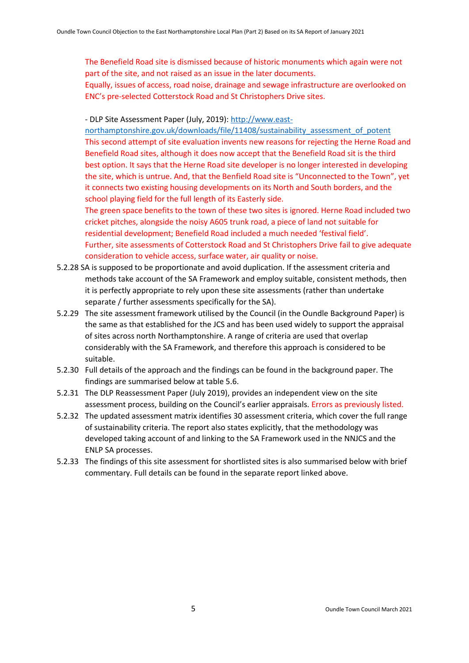The Benefield Road site is dismissed because of historic monuments which again were not part of the site, and not raised as an issue in the later documents.

Equally, issues of access, road noise, drainage and sewage infrastructure are overlooked on ENC's pre-selected Cotterstock Road and St Christophers Drive sites.

- DLP Site Assessment Paper (July, 2019): [http://www.east-](http://www.east-northamptonshire.gov.uk/downloads/file/11408/sustainability_assessment_of_potent)

[northamptonshire.gov.uk/downloads/file/11408/sustainability\\_assessment\\_of\\_potent](http://www.east-northamptonshire.gov.uk/downloads/file/11408/sustainability_assessment_of_potent) This second attempt of site evaluation invents new reasons for rejecting the Herne Road and Benefield Road sites, although it does now accept that the Benefield Road sit is the third best option. It says that the Herne Road site developer is no longer interested in developing the site, which is untrue. And, that the Benfield Road site is "Unconnected to the Town", yet it connects two existing housing developments on its North and South borders, and the school playing field for the full length of its Easterly side.

The green space benefits to the town of these two sites is ignored. Herne Road included two cricket pitches, alongside the noisy A605 trunk road, a piece of land not suitable for residential development; Benefield Road included a much needed 'festival field'. Further, site assessments of Cotterstock Road and St Christophers Drive fail to give adequate consideration to vehicle access, surface water, air quality or noise.

- 5.2.28 SA is supposed to be proportionate and avoid duplication. If the assessment criteria and methods take account of the SA Framework and employ suitable, consistent methods, then it is perfectly appropriate to rely upon these site assessments (rather than undertake separate / further assessments specifically for the SA).
- 5.2.29 The site assessment framework utilised by the Council (in the Oundle Background Paper) is the same as that established for the JCS and has been used widely to support the appraisal of sites across north Northamptonshire. A range of criteria are used that overlap considerably with the SA Framework, and therefore this approach is considered to be suitable.
- 5.2.30 Full details of the approach and the findings can be found in the background paper. The findings are summarised below at table 5.6.
- 5.2.31 The DLP Reassessment Paper (July 2019), provides an independent view on the site assessment process, building on the Council's earlier appraisals. Errors as previously listed.
- 5.2.32 The updated assessment matrix identifies 30 assessment criteria, which cover the full range of sustainability criteria. The report also states explicitly, that the methodology was developed taking account of and linking to the SA Framework used in the NNJCS and the ENLP SA processes.
- 5.2.33 The findings of this site assessment for shortlisted sites is also summarised below with brief commentary. Full details can be found in the separate report linked above.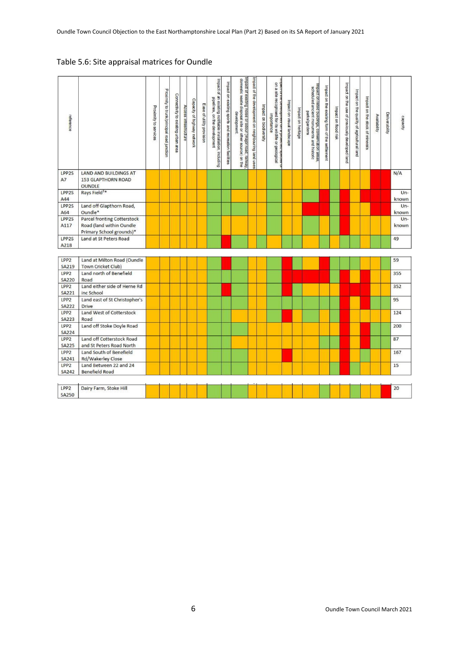## Table 5.6: Site appraisal matrices for Oundle

| reference                        |                                               | Proximity to services | Proximity to trunk/principal road junction | Connectivity to existing urban area | Access infrastructure | Capacity of highway network | Ease of utility provision | Impact of<br>an existing notifiable installation, including<br>pipelines, on the development | Impact on existing sports and recreation facilities | Impact of existing noise or odour (major road, railway,<br>domestic waste disposal site or other source) on the<br>development | Impact of the development on neighbouring land uses | Impact on biodiversity | narlı<br>$\overline{\mathsf{s}}$<br>a site<br>re ueverupment on a prutecteu species<br>recognised for its wildife or geological<br>importance | Impact on visual landscape | Impact on heritage | Impact on listed buildings, conservation areas<br>scheduled ancient monuments and historic<br>parks/garders | Impact on the existing form of the settlement | Impact on flood risk | Impact on the use of previously developed land | Impact on the quality of agricultural land | Impact on the stock of minerals | Availability | Deliverability | capacity       |
|----------------------------------|-----------------------------------------------|-----------------------|--------------------------------------------|-------------------------------------|-----------------------|-----------------------------|---------------------------|----------------------------------------------------------------------------------------------|-----------------------------------------------------|--------------------------------------------------------------------------------------------------------------------------------|-----------------------------------------------------|------------------------|-----------------------------------------------------------------------------------------------------------------------------------------------|----------------------------|--------------------|-------------------------------------------------------------------------------------------------------------|-----------------------------------------------|----------------------|------------------------------------------------|--------------------------------------------|---------------------------------|--------------|----------------|----------------|
| LPP2S                            | <b>LAND AND BUILDINGS AT</b>                  |                       |                                            |                                     |                       |                             |                           |                                                                                              |                                                     |                                                                                                                                |                                                     |                        |                                                                                                                                               |                            |                    |                                                                                                             |                                               |                      |                                                |                                            |                                 |              |                | N/A            |
| A7                               | <b>153 GLAPTHORN ROAD</b>                     |                       |                                            |                                     |                       |                             |                           |                                                                                              |                                                     |                                                                                                                                |                                                     |                        |                                                                                                                                               |                            |                    |                                                                                                             |                                               |                      |                                                |                                            |                                 |              |                |                |
|                                  | <b>OUNDLE</b>                                 |                       |                                            |                                     |                       |                             |                           |                                                                                              |                                                     |                                                                                                                                |                                                     |                        |                                                                                                                                               |                            |                    |                                                                                                             |                                               |                      |                                                |                                            |                                 |              |                |                |
| LPP2S                            | Rays Field <sup>3*</sup>                      |                       |                                            |                                     |                       |                             |                           |                                                                                              |                                                     |                                                                                                                                |                                                     |                        |                                                                                                                                               |                            |                    |                                                                                                             |                                               |                      |                                                |                                            |                                 |              |                | $Un-$          |
| A44                              |                                               |                       |                                            |                                     |                       |                             |                           |                                                                                              |                                                     |                                                                                                                                |                                                     |                        |                                                                                                                                               |                            |                    |                                                                                                             |                                               |                      |                                                |                                            |                                 |              |                | known          |
| LPP2S                            | Land off Glapthorn Road,                      |                       |                                            |                                     |                       |                             |                           |                                                                                              |                                                     |                                                                                                                                |                                                     |                        |                                                                                                                                               |                            |                    |                                                                                                             |                                               |                      |                                                |                                            |                                 |              |                | $Un-$          |
| A64<br>LPP2S                     | Oundle*<br><b>Parcel fronting Cotterstock</b> |                       |                                            |                                     |                       |                             |                           |                                                                                              |                                                     |                                                                                                                                |                                                     |                        |                                                                                                                                               |                            |                    |                                                                                                             |                                               |                      |                                                |                                            |                                 |              |                | known<br>$Un-$ |
| A117                             | Road (land within Oundle                      |                       |                                            |                                     |                       |                             |                           |                                                                                              |                                                     |                                                                                                                                |                                                     |                        |                                                                                                                                               |                            |                    |                                                                                                             |                                               |                      |                                                |                                            |                                 |              |                | known          |
|                                  | Primary School grounds)*                      |                       |                                            |                                     |                       |                             |                           |                                                                                              |                                                     |                                                                                                                                |                                                     |                        |                                                                                                                                               |                            |                    |                                                                                                             |                                               |                      |                                                |                                            |                                 |              |                |                |
| LPP2S                            | Land at St Peters Road                        |                       |                                            |                                     |                       |                             |                           |                                                                                              |                                                     |                                                                                                                                |                                                     |                        |                                                                                                                                               |                            |                    |                                                                                                             |                                               |                      |                                                |                                            |                                 |              |                | 49             |
| A218                             |                                               |                       |                                            |                                     |                       |                             |                           |                                                                                              |                                                     |                                                                                                                                |                                                     |                        |                                                                                                                                               |                            |                    |                                                                                                             |                                               |                      |                                                |                                            |                                 |              |                |                |
|                                  |                                               |                       |                                            |                                     |                       |                             |                           |                                                                                              |                                                     |                                                                                                                                |                                                     |                        |                                                                                                                                               |                            |                    |                                                                                                             |                                               |                      |                                                |                                            |                                 |              |                |                |
| LPP <sub>2</sub>                 | Land at Milton Road (Oundle                   |                       |                                            |                                     |                       |                             |                           |                                                                                              |                                                     |                                                                                                                                |                                                     |                        |                                                                                                                                               |                            |                    |                                                                                                             |                                               |                      |                                                |                                            |                                 |              |                | 59             |
| <b>SA219</b>                     | Town Cricket Club)                            |                       |                                            |                                     |                       |                             |                           |                                                                                              |                                                     |                                                                                                                                |                                                     |                        |                                                                                                                                               |                            |                    |                                                                                                             |                                               |                      |                                                |                                            |                                 |              |                |                |
| LPP <sub>2</sub>                 | Land north of Benefield                       |                       |                                            |                                     |                       |                             |                           |                                                                                              |                                                     |                                                                                                                                |                                                     |                        |                                                                                                                                               |                            |                    |                                                                                                             |                                               |                      |                                                |                                            |                                 |              |                | 355            |
| <b>SA220</b>                     | Road                                          |                       |                                            |                                     |                       |                             |                           |                                                                                              |                                                     |                                                                                                                                |                                                     |                        |                                                                                                                                               |                            |                    |                                                                                                             |                                               |                      |                                                |                                            |                                 |              |                |                |
| LPP <sub>2</sub>                 | Land either side of Herne Rd                  |                       |                                            |                                     |                       |                             |                           |                                                                                              |                                                     |                                                                                                                                |                                                     |                        |                                                                                                                                               |                            |                    |                                                                                                             |                                               |                      |                                                |                                            |                                 |              |                | 352            |
| SA221                            | inc School                                    |                       |                                            |                                     |                       |                             |                           |                                                                                              |                                                     |                                                                                                                                |                                                     |                        |                                                                                                                                               |                            |                    |                                                                                                             |                                               |                      |                                                |                                            |                                 |              |                |                |
| LPP <sub>2</sub>                 | Land east of St Christopher's                 |                       |                                            |                                     |                       |                             |                           |                                                                                              |                                                     |                                                                                                                                |                                                     |                        |                                                                                                                                               |                            |                    |                                                                                                             |                                               |                      |                                                |                                            |                                 |              |                | 95             |
| <b>SA222</b>                     | <b>Drive</b>                                  |                       |                                            |                                     |                       |                             |                           |                                                                                              |                                                     |                                                                                                                                |                                                     |                        |                                                                                                                                               |                            |                    |                                                                                                             |                                               |                      |                                                |                                            |                                 |              |                |                |
| LPP <sub>2</sub><br><b>SA223</b> | Land West of Cotterstock<br>Road              |                       |                                            |                                     |                       |                             |                           |                                                                                              |                                                     |                                                                                                                                |                                                     |                        |                                                                                                                                               |                            |                    |                                                                                                             |                                               |                      |                                                |                                            |                                 |              |                | 124            |
| LPP <sub>2</sub>                 | Land off Stoke Doyle Road                     |                       |                                            |                                     |                       |                             |                           |                                                                                              |                                                     |                                                                                                                                |                                                     |                        |                                                                                                                                               |                            |                    |                                                                                                             |                                               |                      |                                                |                                            |                                 |              |                | 200            |
| <b>SA224</b>                     |                                               |                       |                                            |                                     |                       |                             |                           |                                                                                              |                                                     |                                                                                                                                |                                                     |                        |                                                                                                                                               |                            |                    |                                                                                                             |                                               |                      |                                                |                                            |                                 |              |                |                |
| LPP <sub>2</sub>                 | Land off Cotterstock Road                     |                       |                                            |                                     |                       |                             |                           |                                                                                              |                                                     |                                                                                                                                |                                                     |                        |                                                                                                                                               |                            |                    |                                                                                                             |                                               |                      |                                                |                                            |                                 |              |                | 87             |
| <b>SA225</b>                     | and St Peters Road North                      |                       |                                            |                                     |                       |                             |                           |                                                                                              |                                                     |                                                                                                                                |                                                     |                        |                                                                                                                                               |                            |                    |                                                                                                             |                                               |                      |                                                |                                            |                                 |              |                |                |
| LPP <sub>2</sub>                 | Land South of Benefield                       |                       |                                            |                                     |                       |                             |                           |                                                                                              |                                                     |                                                                                                                                |                                                     |                        |                                                                                                                                               |                            |                    |                                                                                                             |                                               |                      |                                                |                                            |                                 |              |                | 167            |
| <b>SA241</b>                     | Rd/Wakerley Close                             |                       |                                            |                                     |                       |                             |                           |                                                                                              |                                                     |                                                                                                                                |                                                     |                        |                                                                                                                                               |                            |                    |                                                                                                             |                                               |                      |                                                |                                            |                                 |              |                |                |
| LPP <sub>2</sub>                 | Land Between 22 and 24                        |                       |                                            |                                     |                       |                             |                           |                                                                                              |                                                     |                                                                                                                                |                                                     |                        |                                                                                                                                               |                            |                    |                                                                                                             |                                               |                      |                                                |                                            |                                 |              |                | 15             |
| <b>SA242</b>                     | <b>Benefield Road</b>                         |                       |                                            |                                     |                       |                             |                           |                                                                                              |                                                     |                                                                                                                                |                                                     |                        |                                                                                                                                               |                            |                    |                                                                                                             |                                               |                      |                                                |                                            |                                 |              |                |                |
|                                  |                                               |                       |                                            |                                     |                       |                             |                           |                                                                                              |                                                     |                                                                                                                                |                                                     |                        |                                                                                                                                               |                            |                    |                                                                                                             |                                               |                      |                                                |                                            |                                 |              |                |                |
| LPP <sub>2</sub>                 | Dairy Farm, Stoke Hill                        |                       |                                            |                                     |                       |                             |                           |                                                                                              |                                                     |                                                                                                                                |                                                     |                        |                                                                                                                                               |                            |                    |                                                                                                             |                                               |                      |                                                |                                            |                                 |              |                | 20             |
| <b>SA250</b>                     |                                               |                       |                                            |                                     |                       |                             |                           |                                                                                              |                                                     |                                                                                                                                |                                                     |                        |                                                                                                                                               |                            |                    |                                                                                                             |                                               |                      |                                                |                                            |                                 |              |                |                |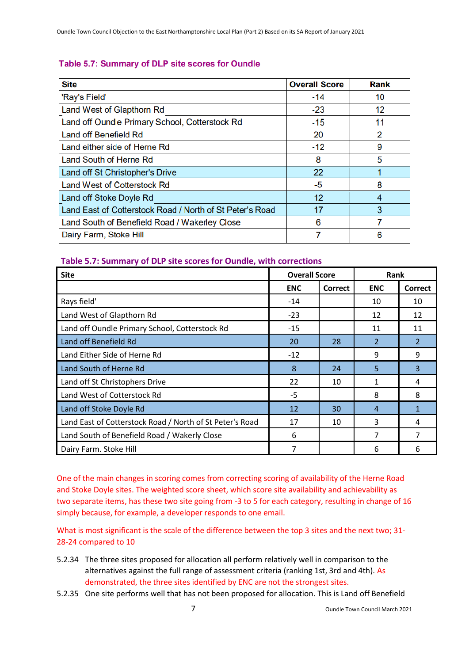# Table 5.7: Summary of DLP site scores for Oundle

| <b>Site</b>                                              | <b>Overall Score</b> | <b>Rank</b> |
|----------------------------------------------------------|----------------------|-------------|
| 'Ray's Field'                                            | $-14$                | 10          |
| Land West of Glapthorn Rd                                | -23                  | 12          |
| Land off Oundle Primary School, Cotterstock Rd           | $-15$                | 11          |
| Land off Benefield Rd                                    | 20                   | 2           |
| Land either side of Herne Rd                             | $-12$                | 9           |
| Land South of Herne Rd                                   | 8                    | 5           |
| Land off St Christopher's Drive                          | 22                   |             |
| <b>Land West of Cotterstock Rd</b>                       | -5                   | 8           |
| Land off Stoke Doyle Rd                                  | $12 \,$              | 4           |
| Land East of Cotterstock Road / North of St Peter's Road | 17                   | 3           |
| Land South of Benefield Road / Wakerley Close            |                      |             |
| Dairy Farm, Stoke Hill                                   |                      | 6           |

# **Table 5.7: Summary of DLP site scores for Oundle, with corrections**

| <b>Site</b>                                              | <b>Overall Score</b> |                | Rank           |                |  |  |  |
|----------------------------------------------------------|----------------------|----------------|----------------|----------------|--|--|--|
|                                                          | <b>ENC</b>           | <b>Correct</b> | <b>ENC</b>     | <b>Correct</b> |  |  |  |
| Rays field'                                              | $-14$                |                | 10             | 10             |  |  |  |
| Land West of Glapthorn Rd                                | $-23$                |                | 12             | 12             |  |  |  |
| Land off Oundle Primary School, Cotterstock Rd           | $-15$                |                | 11             | 11             |  |  |  |
| Land off Benefield Rd                                    | 20                   | 28             | 2              | 2              |  |  |  |
| Land Either Side of Herne Rd                             | $-12$                |                | 9              | 9              |  |  |  |
| Land South of Herne Rd                                   | 8                    | 24             | 5              | 3              |  |  |  |
| Land off St Christophers Drive                           | 22                   | 10             | 1              | 4              |  |  |  |
| Land West of Cotterstock Rd                              | -5                   |                | 8              | 8              |  |  |  |
| Land off Stoke Doyle Rd                                  | 12                   | 30             | $\overline{4}$ | 1              |  |  |  |
| Land East of Cotterstock Road / North of St Peter's Road | 17                   | 10             | 3              | 4              |  |  |  |
| Land South of Benefield Road / Wakerly Close             | 6                    |                |                |                |  |  |  |
| Dairy Farm. Stoke Hill                                   | 7                    |                | 6              | 6              |  |  |  |

One of the main changes in scoring comes from correcting scoring of availability of the Herne Road and Stoke Doyle sites. The weighted score sheet, which score site availability and achievability as two separate items, has these two site going from -3 to 5 for each category, resulting in change of 16 simply because, for example, a developer responds to one email.

What is most significant is the scale of the difference between the top 3 sites and the next two; 31-28-24 compared to 10

- 5.2.34 The three sites proposed for allocation all perform relatively well in comparison to the alternatives against the full range of assessment criteria (ranking 1st, 3rd and 4th). As demonstrated, the three sites identified by ENC are not the strongest sites.
- 5.2.35 One site performs well that has not been proposed for allocation. This is Land off Benefield